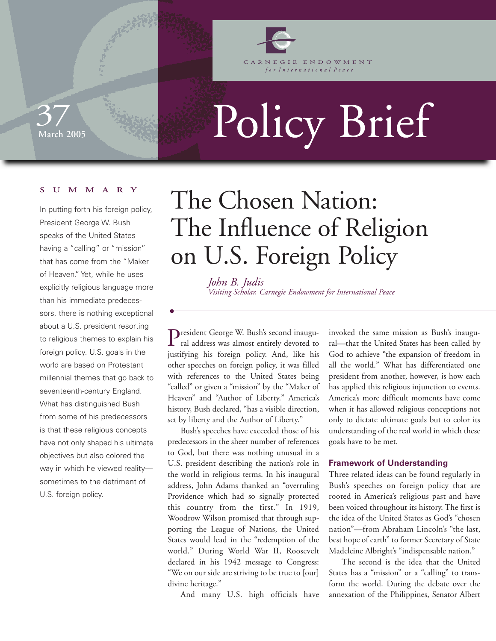

GIE ENDOWMENT for International Peace

## **March 2005**  37

# Policy Brief

#### **SUMMARY**

In putting forth his foreign policy, President George W. Bush speaks of the United States having a "calling" or "mission" that has come from the "Maker of Heaven." Yet, while he uses explicitly religious language more than his immediate predecessors, there is nothing exceptional about a U.S. president resorting to religious themes to explain his foreign policy. U.S. goals in the world are based on Protestant millennial themes that go back to seventeenth-century England. What has distinguished Bush from some of his predecessors is that these religious concepts have not only shaped his ultimate objectives but also colored the way in which he viewed reality sometimes to the detriment of U.S. foreign policy.

## The Chosen Nation: The Influence of Religion on U.S. Foreign Policy

*John B. Judis Visiting Scholar, Carnegie Endowment for International Peace*

President George W. Bush's second inaugu- $\Gamma$  ral address was almost entirely devoted to justifying his foreign policy. And, like his other speeches on foreign policy, it was filled with references to the United States being "called" or given a "mission" by the "Maker of Heaven" and "Author of Liberty." America's history, Bush declared, "has a visible direction, set by liberty and the Author of Liberty."

Bush's speeches have exceeded those of his predecessors in the sheer number of references to God, but there was nothing unusual in a U.S. president describing the nation's role in the world in religious terms. In his inaugural address, John Adams thanked an "overruling Providence which had so signally protected this country from the first." In 1919, Woodrow Wilson promised that through supporting the League of Nations, the United States would lead in the "redemption of the world." During World War II, Roosevelt declared in his 1942 message to Congress: "We on our side are striving to be true to [our] divine heritage."

And many U.S. high officials have

invoked the same mission as Bush's inaugural—that the United States has been called by God to achieve "the expansion of freedom in all the world." What has differentiated one president from another, however, is how each has applied this religious injunction to events. America's more difficult moments have come when it has allowed religious conceptions not only to dictate ultimate goals but to color its understanding of the real world in which these goals have to be met.

#### **Framework of Understanding**

Three related ideas can be found regularly in Bush's speeches on foreign policy that are rooted in America's religious past and have been voiced throughout its history. The first is the idea of the United States as God's "chosen nation"—from Abraham Lincoln's "the last, best hope of earth" to former Secretary of State Madeleine Albright's "indispensable nation."

The second is the idea that the United States has a "mission" or a "calling" to transform the world. During the debate over the annexation of the Philippines, Senator Albert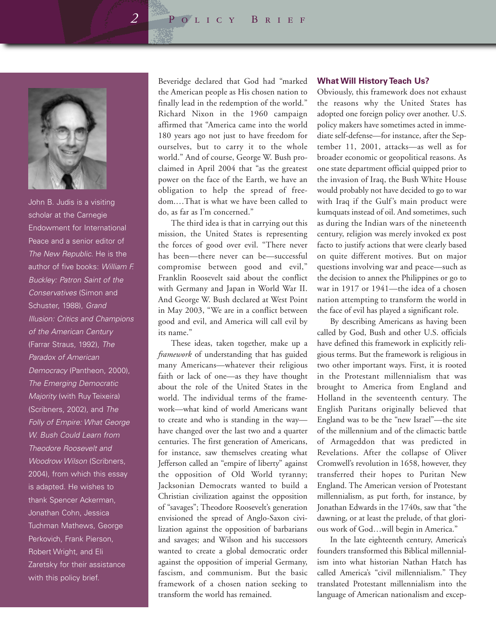*2* Policy Brief



John B. Judis is a visiting scholar at the Carnegie Endowment for International Peace and a senior editor of The New Republic. He is the author of five books: William F. Buckley: Patron Saint of the Conservatives (Simon and Schuster, 1988), Grand Illusion: Critics and Champions of the American Century (Farrar Straus, 1992), The Paradox of American Democracy (Pantheon, 2000), The Emerging Democratic Majority (with Ruy Teixeira) (Scribners, 2002), and The Folly of Empire: What George W. Bush Could Learn from Theodore Roosevelt and Woodrow Wilson (Scribners, 2004), from which this essay is adapted. He wishes to thank Spencer Ackerman, Jonathan Cohn, Jessica Tuchman Mathews, George Perkovich, Frank Pierson, Robert Wright, and Eli Zaretsky for their assistance with this policy brief.

Beveridge declared that God had "marked the American people as His chosen nation to finally lead in the redemption of the world." Richard Nixon in the 1960 campaign affirmed that "America came into the world 180 years ago not just to have freedom for ourselves, but to carry it to the whole world." And of course, George W. Bush proclaimed in April 2004 that "as the greatest power on the face of the Earth, we have an obligation to help the spread of freedom.…That is what we have been called to do, as far as I'm concerned."

The third idea is that in carrying out this mission, the United States is representing the forces of good over evil. "There never has been—there never can be—successful compromise between good and evil," Franklin Roosevelt said about the conflict with Germany and Japan in World War II. And George W. Bush declared at West Point in May 2003, "We are in a conflict between good and evil, and America will call evil by its name."

These ideas, taken together, make up a *framework* of understanding that has guided many Americans—whatever their religious faith or lack of one—as they have thought about the role of the United States in the world. The individual terms of the framework—what kind of world Americans want to create and who is standing in the way have changed over the last two and a quarter centuries. The first generation of Americans, for instance, saw themselves creating what Jefferson called an "empire of liberty" against the opposition of Old World tyranny; Jacksonian Democrats wanted to build a Christian civilization against the opposition of "savages"; Theodore Roosevelt's generation envisioned the spread of Anglo-Saxon civilization against the opposition of barbarians and savages; and Wilson and his successors wanted to create a global democratic order against the opposition of imperial Germany, fascism, and communism. But the basic framework of a chosen nation seeking to transform the world has remained.

#### **What Will History Teach Us?**

Obviously, this framework does not exhaust the reasons why the United States has adopted one foreign policy over another. U.S. policy makers have sometimes acted in immediate self-defense—for instance, after the September 11, 2001, attacks—as well as for broader economic or geopolitical reasons. As one state department official quipped prior to the invasion of Iraq, the Bush White House would probably not have decided to go to war with Iraq if the Gulf's main product were kumquats instead of oil. And sometimes, such as during the Indian wars of the nineteenth century, religion was merely invoked ex post facto to justify actions that were clearly based on quite different motives. But on major questions involving war and peace—such as the decision to annex the Philippines or go to war in 1917 or 1941—the idea of a chosen nation attempting to transform the world in the face of evil has played a significant role.

By describing Americans as having been called by God, Bush and other U.S. officials have defined this framework in explicitly religious terms. But the framework is religious in two other important ways. First, it is rooted in the Protestant millennialism that was brought to America from England and Holland in the seventeenth century. The English Puritans originally believed that England was to be the "new Israel"—the site of the millennium and of the climactic battle of Armageddon that was predicted in Revelations. After the collapse of Oliver Cromwell's revolution in 1658, however, they transferred their hopes to Puritan New England. The American version of Protestant millennialism, as put forth, for instance, by Jonathan Edwards in the 1740s, saw that "the dawning, or at least the prelude, of that glorious work of God…will begin in America."

In the late eighteenth century, America's founders transformed this Biblical millennialism into what historian Nathan Hatch has called America's "civil millennialism." They translated Protestant millennialism into the language of American nationalism and excep-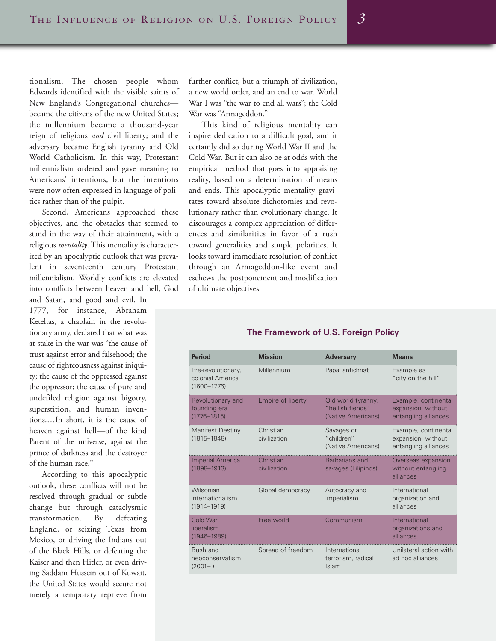tionalism. The chosen people—whom Edwards identified with the visible saints of New England's Congregational churches became the citizens of the new United States; the millennium became a thousand-year reign of religious *and* civil liberty; and the adversary became English tyranny and Old World Catholicism. In this way, Protestant millennialism ordered and gave meaning to Americans' intentions, but the intentions were now often expressed in language of politics rather than of the pulpit.

Second, Americans approached these objectives, and the obstacles that seemed to stand in the way of their attainment, with a religious *mentality*. This mentality is characterized by an apocalyptic outlook that was prevalent in seventeenth century Protestant millennialism. Worldly conflicts are elevated into conflicts between heaven and hell, God

and Satan, and good and evil. In 1777, for instance, Abraham Keteltas, a chaplain in the revolutionary army, declared that what was at stake in the war was "the cause of trust against error and falsehood; the cause of righteousness against iniquity; the cause of the oppressed against the oppressor; the cause of pure and undefiled religion against bigotry, superstition, and human inventions.…In short, it is the cause of heaven against hell—of the kind Parent of the universe, against the prince of darkness and the destroyer of the human race."

According to this apocalyptic outlook, these conflicts will not be resolved through gradual or subtle change but through cataclysmic transformation. By defeating England, or seizing Texas from Mexico, or driving the Indians out of the Black Hills, or defeating the Kaiser and then Hitler, or even driving Saddam Hussein out of Kuwait, the United States would secure not merely a temporary reprieve from

further conflict, but a triumph of civilization, a new world order, and an end to war. World War I was "the war to end all wars"; the Cold War was "Armageddon."

This kind of religious mentality can inspire dedication to a difficult goal, and it certainly did so during World War II and the Cold War. But it can also be at odds with the empirical method that goes into appraising reality, based on a determination of means and ends. This apocalyptic mentality gravitates toward absolute dichotomies and revolutionary rather than evolutionary change. It discourages a complex appreciation of differences and similarities in favor of a rush toward generalities and simple polarities. It looks toward immediate resolution of conflict through an Armageddon-like event and eschews the postponement and modification of ultimate objectives.

#### **The Framework of U.S. Foreign Policy**

| <b>Period</b>                                             | <b>Mission</b>            | <b>Adversary</b>                                             | <b>Means</b>                                                       |
|-----------------------------------------------------------|---------------------------|--------------------------------------------------------------|--------------------------------------------------------------------|
| Pre-revolutionary,<br>colonial America<br>$(1600 - 1776)$ | Millennium                | Papal antichrist                                             | Example as<br>"city on the hill"                                   |
| Revolutionary and<br>founding era<br>$(1776 - 1815)$      | <b>Empire of liberty</b>  | Old world tyranny,<br>"hellish fiends"<br>(Native Americans) | Example, continental<br>expansion, without<br>entangling alliances |
| Manifest Destiny<br>$(1815 - 1848)$                       | Christian<br>civilization | Savages or<br>"children"<br>(Native Americans)               | Example, continental<br>expansion, without<br>entangling alliances |
| <b>Imperial America</b><br>$(1898 - 1913)$                | Christian<br>civilization | Barbarians and<br>savages (Filipinos)                        | Overseas expansion<br>without entangling<br>alliances              |
| Wilsonian<br>internationalism<br>$(1914 - 1919)$          | Global democracy          | Autocracy and<br>imperialism                                 | International<br>organization and<br>alliances                     |
| Cold War<br>liberalism<br>$(1946 - 1989)$                 | Free world                | Communism                                                    | International<br>organizations and<br>alliances                    |
| Bush and<br>neoconservatism<br>$(2001 - )$                | Spread of freedom         | International<br>terrorism, radical<br>Islam                 | Unilateral action with<br>ad hoc alliances                         |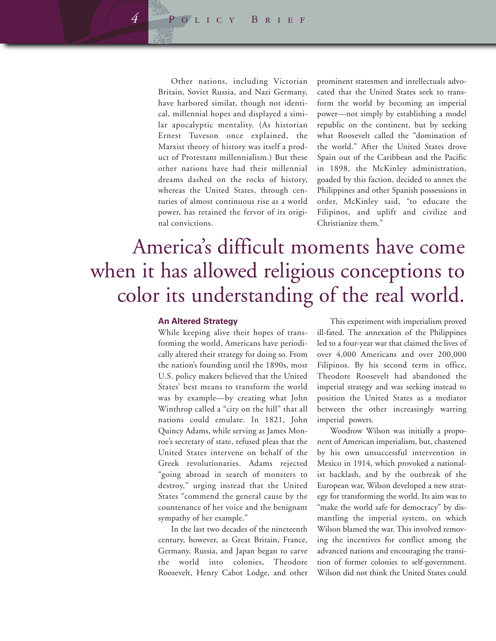Other nations, including Victorian Britain, Soviet Russia, and Nazi Germany, have harbored similar, though not identical, millennial hopes and displayed a similar apocalyptic mentality. (As historian Ernest Tuveson once explained, the Marxist theory of history was itself a product of Protestant millennialism.) But these other nations have had their millennial dreams dashed on the rocks of history, whereas the United States, through centuries of almost continuous rise as a world power, has retained the fervor of its original convictions.

prominent statesmen and intellectuals advocated that the United States seek to transform the world by becoming an imperial power—not simply by establishing a model republic on the continent, but by seeking what Roosevelt called the "domination of the world." After the United States drove Spain out of the Caribbean and the Pacific in 1898, the McKinley administration, goaded by this faction, decided to annex the Philippines and other Spanish possessions in order, McKinley said, "to educate the Filipinos, and uplift and civilize and Christianize them."

### America's difficult moments have come when it has allowed religious conceptions to color its understanding of the real world.

#### **An Altered Strategy**

While keeping alive their hopes of transforming the world, Americans have periodically altered their strategy for doing so. From the nation's founding until the 1890s, most U.S. policy makers believed that the United States' best means to transform the world was by example—by creating what John Winthrop called a "city on the hill" that all nations could emulate. In 1821, John Quincy Adams, while serving as James Monroe's secretary of state, refused pleas that the United States intervene on behalf of the Greek revolutionaries. Adams rejected "going abroad in search of monsters to destroy," urging instead that the United States "commend the general cause by the countenance of her voice and the benignant sympathy of her example."

In the last two decades of the nineteenth century, however, as Great Britain, France, Germany, Russia, and Japan began to carve the world into colonies, Theodore Roosevelt, Henry Cabot Lodge, and other

This experiment with imperialism proved ill-fated. The annexation of the Philippines led to a four-year war that claimed the lives of over 4,000 Americans and over 200,000 Filipinos. By his second term in office, Theodore Roosevelt had abandoned the imperial strategy and was seeking instead to position the United States as a mediator between the other increasingly warring imperial powers.

Woodrow Wilson was initially a proponent of American imperialism, but, chastened by his own unsuccessful intervention in Mexico in 1914, which provoked a nationalist backlash, and by the outbreak of the European war, Wilson developed a new strategy for transforming the world. Its aim was to "make the world safe for democracy" by dismantling the imperial system, on which Wilson blamed the war. This involved removing the incentives for conflict among the advanced nations and encouraging the transition of former colonies to self-government. Wilson did not think the United States could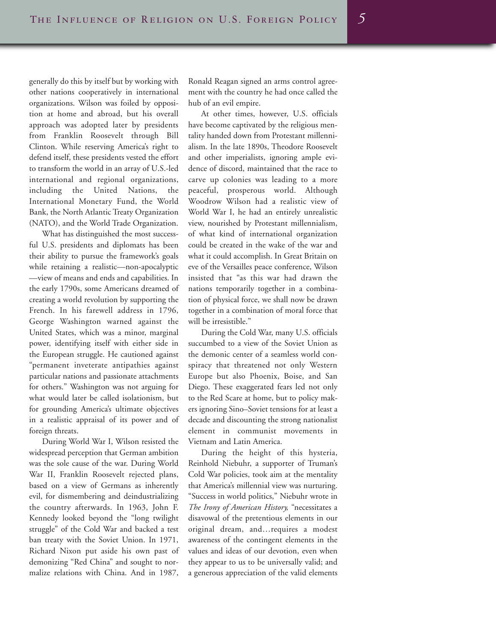generally do this by itself but by working with other nations cooperatively in international organizations. Wilson was foiled by opposition at home and abroad, but his overall approach was adopted later by presidents from Franklin Roosevelt through Bill Clinton. While reserving America's right to defend itself, these presidents vested the effort to transform the world in an array of U.S.-led international and regional organizations, including the United Nations, the International Monetary Fund, the World Bank, the North Atlantic Treaty Organization (NATO), and the World Trade Organization.

What has distinguished the most successful U.S. presidents and diplomats has been their ability to pursue the framework's goals while retaining a realistic—non-apocalyptic —view of means and ends and capabilities. In the early 1790s, some Americans dreamed of creating a world revolution by supporting the French. In his farewell address in 1796, George Washington warned against the United States, which was a minor, marginal power, identifying itself with either side in the European struggle. He cautioned against "permanent inveterate antipathies against particular nations and passionate attachments for others." Washington was not arguing for what would later be called isolationism, but for grounding America's ultimate objectives in a realistic appraisal of its power and of foreign threats.

During World War I, Wilson resisted the widespread perception that German ambition was the sole cause of the war. During World War II, Franklin Roosevelt rejected plans, based on a view of Germans as inherently evil, for dismembering and deindustrializing the country afterwards. In 1963, John F. Kennedy looked beyond the "long twilight struggle" of the Cold War and backed a test ban treaty with the Soviet Union. In 1971, Richard Nixon put aside his own past of demonizing "Red China" and sought to normalize relations with China. And in 1987,

Ronald Reagan signed an arms control agreement with the country he had once called the hub of an evil empire.

At other times, however, U.S. officials have become captivated by the religious mentality handed down from Protestant millennialism. In the late 1890s, Theodore Roosevelt and other imperialists, ignoring ample evidence of discord, maintained that the race to carve up colonies was leading to a more peaceful, prosperous world. Although Woodrow Wilson had a realistic view of World War I, he had an entirely unrealistic view, nourished by Protestant millennialism, of what kind of international organization could be created in the wake of the war and what it could accomplish. In Great Britain on eve of the Versailles peace conference, Wilson insisted that "as this war had drawn the nations temporarily together in a combination of physical force, we shall now be drawn together in a combination of moral force that will be irresistible."

During the Cold War, many U.S. officials succumbed to a view of the Soviet Union as the demonic center of a seamless world conspiracy that threatened not only Western Europe but also Phoenix, Boise, and San Diego. These exaggerated fears led not only to the Red Scare at home, but to policy makers ignoring Sino–Soviet tensions for at least a decade and discounting the strong nationalist element in communist movements in Vietnam and Latin America.

During the height of this hysteria, Reinhold Niebuhr, a supporter of Truman's Cold War policies, took aim at the mentality that America's millennial view was nurturing. "Success in world politics," Niebuhr wrote in *The Irony of American History,* "necessitates a disavowal of the pretentious elements in our original dream, and…requires a modest awareness of the contingent elements in the values and ideas of our devotion, even when they appear to us to be universally valid; and a generous appreciation of the valid elements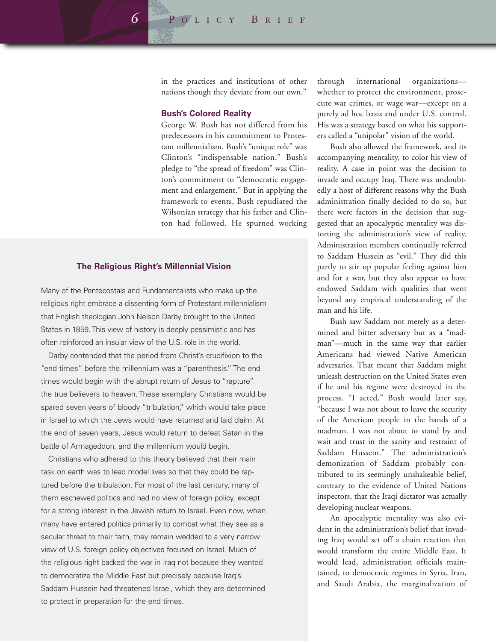in the practices and institutions of other nations though they deviate from our own."

#### **Bush's Colored Reality**

George W. Bush has not differed from his predecessors in his commitment to Protestant millennialism. Bush's "unique role" was Clinton's "indispensable nation." Bush's pledge to "the spread of freedom" was Clinton's commitment to "democratic engagement and enlargement." But in applying the framework to events, Bush repudiated the Wilsonian strategy that his father and Clinton had followed. He spurned working

#### **The Religious Right's Millennial Vision**

Many of the Pentecostals and Fundamentalists who make up the religious right embrace a dissenting form of Protestant millennialism that English theologian John Nelson Darby brought to the United States in 1859. This view of history is deeply pessimistic and has often reinforced an insular view of the U.S. role in the world.

Darby contended that the period from Christ's crucifixion to the "end times" before the millennium was a "parenthesis." The end times would begin with the abrupt return of Jesus to "rapture" the true believers to heaven. These exemplary Christians would be spared seven years of bloody "tribulation," which would take place in Israel to which the Jews would have returned and laid claim. At the end of seven years, Jesus would return to defeat Satan in the battle of Armageddon, and the millennium would begin.

Christians who adhered to this theory believed that their main task on earth was to lead model lives so that they could be raptured before the tribulation. For most of the last century, many of them eschewed politics and had no view of foreign policy, except for a strong interest in the Jewish return to Israel. Even now, when many have entered politics primarily to combat what they see as a secular threat to their faith, they remain wedded to a very narrow view of U.S. foreign policy objectives focused on Israel. Much of the religious right backed the war in Iraq not because they wanted to democratize the Middle East but precisely because Iraq's Saddam Hussein had threatened Israel, which they are determined to protect in preparation for the end times.

through international organizations whether to protect the environment, prosecute war crimes, or wage war—except on a purely ad hoc basis and under U.S. control. His was a strategy based on what his supporters called a "unipolar" vision of the world.

Bush also allowed the framework, and its accompanying mentality, to color his view of reality. A case in point was the decision to invade and occupy Iraq. There was undoubtedly a host of different reasons why the Bush administration finally decided to do so, but there were factors in the decision that suggested that an apocalyptic mentality was distorting the administration's view of reality. Administration members continually referred to Saddam Hussein as "evil." They did this partly to stir up popular feeling against him and for a war, but they also appear to have endowed Saddam with qualities that went beyond any empirical understanding of the man and his life.

Bush saw Saddam not merely as a determined and bitter adversary but as a "madman"—much in the same way that earlier Americans had viewed Native American adversaries. That meant that Saddam might unleash destruction on the United States even if he and his regime were destroyed in the process. "I acted," Bush would later say, "because I was not about to leave the security of the American people in the hands of a madman. I was not about to stand by and wait and trust in the sanity and restraint of Saddam Hussein." The administration's demonization of Saddam probably contributed to its seemingly unshakeable belief, contrary to the evidence of United Nations inspectors, that the Iraqi dictator was actually developing nuclear weapons.

An apocalyptic mentality was also evident in the administration's belief that invading Iraq would set off a chain reaction that would transform the entire Middle East. It would lead, administration officials maintained, to democratic regimes in Syria, Iran, and Saudi Arabia, the marginalization of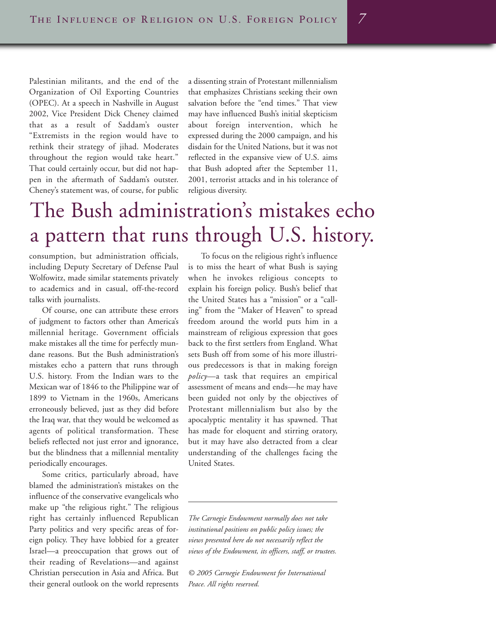Palestinian militants, and the end of the Organization of Oil Exporting Countries (OPEC). At a speech in Nashville in August 2002, Vice President Dick Cheney claimed that as a result of Saddam's ouster "Extremists in the region would have to rethink their strategy of jihad. Moderates throughout the region would take heart." That could certainly occur, but did not happen in the aftermath of Saddam's outster. Cheney's statement was, of course, for public

a dissenting strain of Protestant millennialism that emphasizes Christians seeking their own salvation before the "end times." That view may have influenced Bush's initial skepticism about foreign intervention, which he expressed during the 2000 campaign, and his disdain for the United Nations, but it was not reflected in the expansive view of U.S. aims that Bush adopted after the September 11, 2001, terrorist attacks and in his tolerance of religious diversity.

## The Bush administration's mistakes echo a pattern that runs through U.S. history.

consumption, but administration officials, including Deputy Secretary of Defense Paul Wolfowitz, made similar statements privately to academics and in casual, off-the-record talks with journalists.

Of course, one can attribute these errors of judgment to factors other than America's millennial heritage. Government officials make mistakes all the time for perfectly mundane reasons. But the Bush administration's mistakes echo a pattern that runs through U.S. history. From the Indian wars to the Mexican war of 1846 to the Philippine war of 1899 to Vietnam in the 1960s, Americans erroneously believed, just as they did before the Iraq war, that they would be welcomed as agents of political transformation. These beliefs reflected not just error and ignorance, but the blindness that a millennial mentality periodically encourages.

Some critics, particularly abroad, have blamed the administration's mistakes on the influence of the conservative evangelicals who make up "the religious right." The religious right has certainly influenced Republican Party politics and very specific areas of foreign policy. They have lobbied for a greater Israel—a preoccupation that grows out of their reading of Revelations—and against Christian persecution in Asia and Africa. But their general outlook on the world represents

To focus on the religious right's influence is to miss the heart of what Bush is saying when he invokes religious concepts to explain his foreign policy. Bush's belief that the United States has a "mission" or a "calling" from the "Maker of Heaven" to spread freedom around the world puts him in a mainstream of religious expression that goes back to the first settlers from England. What sets Bush off from some of his more illustrious predecessors is that in making foreign *policy*—a task that requires an empirical assessment of means and ends—he may have been guided not only by the objectives of Protestant millennialism but also by the apocalyptic mentality it has spawned. That has made for eloquent and stirring oratory, but it may have also detracted from a clear understanding of the challenges facing the United States.

*The Carnegie Endowment normally does not take institutional positions on public policy issues; the views presented here do not necessarily reflect the views of the Endowment, its officers, staff, or trustees.*

*© 2005 Carnegie Endowment for International Peace. All rights reserved.*